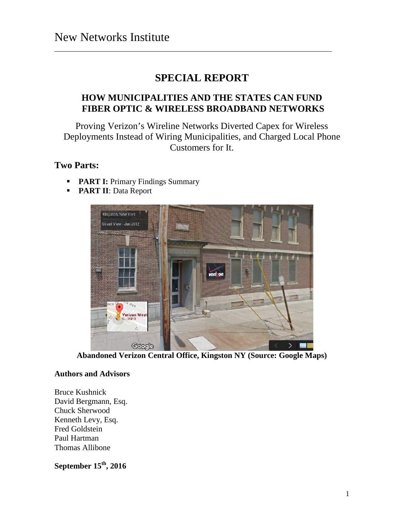# **SPECIAL REPORT**

## **HOW MUNICIPALITIES AND THE STATES CAN FUND FIBER OPTIC & WIRELESS BROADBAND NETWORKS**

Proving Verizon's Wireline Networks Diverted Capex for Wireless Deployments Instead of Wiring Municipalities, and Charged Local Phone Customers for It.

## **Two Parts:**

- **PART I:** Primary Findings Summary
- **PART II: Data Report**



**Abandoned Verizon Central Office, Kingston NY (Source: Google Maps)**

## **Authors and Advisors**

Bruce Kushnick David Bergmann, Esq. Chuck Sherwood Kenneth Levy, Esq. Fred Goldstein Paul Hartman Thomas Allibone

**September 15 th, 2016**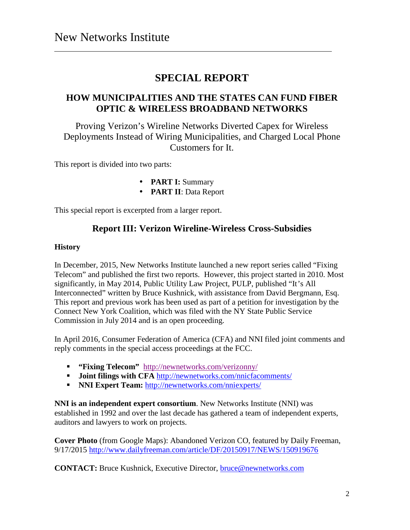# **SPECIAL REPORT**

## **HOW MUNICIPALITIES AND THE STATES CAN FUND FIBER OPTIC & WIRELESS BROADBAND NETWORKS**

Proving Verizon's Wireline Networks Diverted Capex for Wireless Deployments Instead of Wiring Municipalities, and Charged Local Phone Customers for It.

This report is divided into two parts:

- **PART I:** Summary
- **PART II**: Data Report

This special report is excerpted from a larger report.

## **Report III: Verizon Wireline-Wireless Cross-Subsidies**

## **History**

In December, 2015, New Networks Institute launched a new report series called "Fixing Telecom" and published the first two reports. However, this project started in 2010. Most significantly, in May 2014, Public Utility Law Project, PULP, published "It's All Interconnected" written by Bruce Kushnick, with assistance from David Bergmann, Esq. This report and previous work has been used as part of a petition for investigation by the Connect New York Coalition, which was filed with the NY State Public Service Commission in July 2014 and is an open proceeding.

In April 2016, Consumer Federation of America (CFA) and NNI filed joint comments and reply comments in the special access proceedings at the FCC.

- **"Fixing Telecom"** http://newnetworks.com/verizonny/
- **Joint filings with CFA** http://newnetworks.com/nnicfacomments/
- **NNI Expert Team:** http://newnetworks.com/nniexperts/

**NNI is an independent expert consortium**. New Networks Institute (NNI) was established in 1992 and over the last decade has gathered a team of independent experts, auditors and lawyers to work on projects.

**Cover Photo** (from Google Maps): Abandoned Verizon CO, featured by Daily Freeman, 9/17/2015 http://www.dailyfreeman.com/article/DF/20150917/NEWS/150919676

**CONTACT:** Bruce Kushnick, Executive Director, bruce@newnetworks.com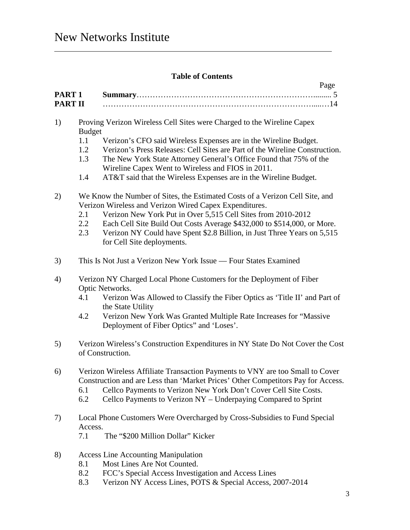## **Table of Contents**

|                                     |               |                                                                                                                                                      | Page |
|-------------------------------------|---------------|------------------------------------------------------------------------------------------------------------------------------------------------------|------|
| PART <sub>1</sub><br><b>PART II</b> |               |                                                                                                                                                      |      |
| 1)                                  | <b>Budget</b> | Proving Verizon Wireless Cell Sites were Charged to the Wireline Capex                                                                               |      |
|                                     | 1.1           | Verizon's CFO said Wireless Expenses are in the Wireline Budget.                                                                                     |      |
|                                     | 1.2<br>1.3    | Verizon's Press Releases: Cell Sites are Part of the Wireline Construction.<br>The New York State Attorney General's Office Found that 75% of the    |      |
|                                     | 1.4           | Wireline Capex Went to Wireless and FIOS in 2011.<br>AT&T said that the Wireless Expenses are in the Wireline Budget.                                |      |
| 2)                                  |               | We Know the Number of Sites, the Estimated Costs of a Verizon Cell Site, and<br>Verizon Wireless and Verizon Wired Capex Expenditures.               |      |
|                                     | 2.1           | Verizon New York Put in Over 5,515 Cell Sites from 2010-2012                                                                                         |      |
|                                     | 2.2           | Each Cell Site Build Out Costs Average \$432,000 to \$514,000, or More.                                                                              |      |
|                                     | 2.3           | Verizon NY Could have Spent \$2.8 Billion, in Just Three Years on 5,515<br>for Cell Site deployments.                                                |      |
| 3)                                  |               | This Is Not Just a Verizon New York Issue - Four States Examined                                                                                     |      |
| 4)                                  |               | Verizon NY Charged Local Phone Customers for the Deployment of Fiber<br>Optic Networks.                                                              |      |
|                                     | 4.1           | Verizon Was Allowed to Classify the Fiber Optics as 'Title II' and Part of<br>the State Utility                                                      |      |
|                                     | 4.2           | Verizon New York Was Granted Multiple Rate Increases for "Massive<br>Deployment of Fiber Optics" and 'Loses'.                                        |      |
| 5)                                  |               | Verizon Wireless's Construction Expenditures in NY State Do Not Cover the Cost<br>of Construction.                                                   |      |
| 6)                                  |               | Verizon Wireless Affiliate Transaction Payments to VNY are too Small to Cover                                                                        |      |
|                                     | 6.1           | Construction and are Less than 'Market Prices' Other Competitors Pay for Access.<br>Cellco Payments to Verizon New York Don't Cover Cell Site Costs. |      |
|                                     | 6.2           | Cellco Payments to Verizon NY - Underpaying Compared to Sprint                                                                                       |      |
| 7)                                  | Access.       | Local Phone Customers Were Overcharged by Cross-Subsidies to Fund Special                                                                            |      |
|                                     | 7.1           | The "\$200 Million Dollar" Kicker                                                                                                                    |      |
| 8)                                  |               | <b>Access Line Accounting Manipulation</b>                                                                                                           |      |
|                                     | 8.1<br>8.2    | Most Lines Are Not Counted.<br>FCC's Special Access Investigation and Access Lines                                                                   |      |
|                                     | 8.3           | Verizon NY Access Lines, POTS & Special Access, 2007-2014                                                                                            |      |
|                                     |               |                                                                                                                                                      |      |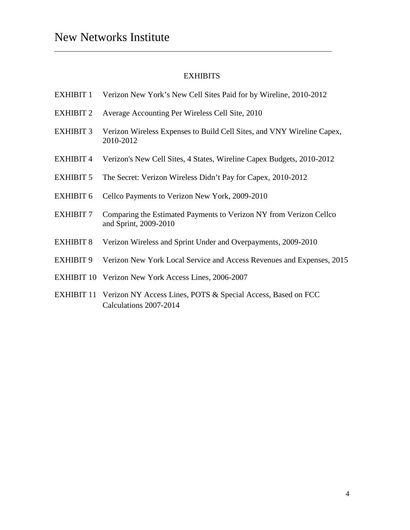## EXHIBITS

| <b>EXHIBIT 1</b> | Verizon New York's New Cell Sites Paid for by Wireline, 2010-2012                           |
|------------------|---------------------------------------------------------------------------------------------|
| <b>EXHIBIT 2</b> | Average Accounting Per Wireless Cell Site, 2010                                             |
| <b>EXHIBIT 3</b> | Verizon Wireless Expenses to Build Cell Sites, and VNY Wireline Capex,<br>2010-2012         |
| <b>EXHIBIT 4</b> | Verizon's New Cell Sites, 4 States, Wireline Capex Budgets, 2010-2012                       |
| <b>EXHIBIT 5</b> | The Secret: Verizon Wireless Didn't Pay for Capex, 2010-2012                                |
| <b>EXHIBIT 6</b> | Cellco Payments to Verizon New York, 2009-2010                                              |
| <b>EXHIBIT 7</b> | Comparing the Estimated Payments to Verizon NY from Verizon Cellco<br>and Sprint, 2009-2010 |
| <b>EXHIBIT 8</b> | Verizon Wireless and Sprint Under and Overpayments, 2009-2010                               |
| <b>EXHIBIT 9</b> | Verizon New York Local Service and Access Revenues and Expenses, 2015                       |
|                  | EXHIBIT 10 Verizon New York Access Lines, 2006-2007                                         |
| EXHIBIT 11       | Verizon NY Access Lines, POTS & Special Access, Based on FCC<br>Calculations 2007-2014      |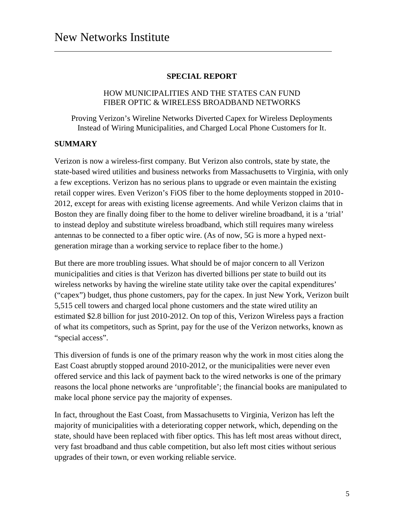#### **SPECIAL REPORT**

## HOW MUNICIPALITIES AND THE STATES CAN FUND FIBER OPTIC & WIRELESS BROADBAND NETWORKS

Proving Verizon's Wireline Networks Diverted Capex for Wireless Deployments Instead of Wiring Municipalities, and Charged Local Phone Customers for It.

#### **SUMMARY**

Verizon is now a wireless-first company. But Verizon also controls, state by state, the state-based wired utilities and business networks from Massachusetts to Virginia, with only a few exceptions. Verizon has no serious plans to upgrade or even maintain the existing retail copper wires. Even Verizon's FiOS fiber to the home deployments stopped in 2010- 2012, except for areas with existing license agreements. And while Verizon claims that in Boston they are finally doing fiber to the home to deliver wireline broadband, it is a 'trial' to instead deploy and substitute wireless broadband, which still requires many wireless antennas to be connected to a fiber optic wire. (As of now, 5G is more a hyped next generation mirage than a working service to replace fiber to the home.)

But there are more troubling issues. What should be of major concern to all Verizon municipalities and cities is that Verizon has diverted billions per state to build out its wireless networks by having the wireline state utility take over the capital expenditures' ("capex") budget, thus phone customers, pay for the capex. In just New York, Verizon built 5,515 cell towers and charged local phone customers and the state wired utility an estimated \$2.8 billion for just 2010-2012. On top of this, Verizon Wireless pays a fraction of what its competitors, such as Sprint, pay for the use of the Verizon networks, known as "special access".

This diversion of funds is one of the primary reason why the work in most cities along the East Coast abruptly stopped around 2010-2012, or the municipalities were never even offered service and this lack of payment back to the wired networks is one of the primary reasons the local phone networks are 'unprofitable'; the financial books are manipulated to make local phone service pay the majority of expenses.

In fact, throughout the East Coast, from Massachusetts to Virginia, Verizon has left the majority of municipalities with a deteriorating copper network, which, depending on the state, should have been replaced with fiber optics. This has left most areas without direct, very fast broadband and thus cable competition, but also left most cities without serious upgrades of their town, or even working reliable service.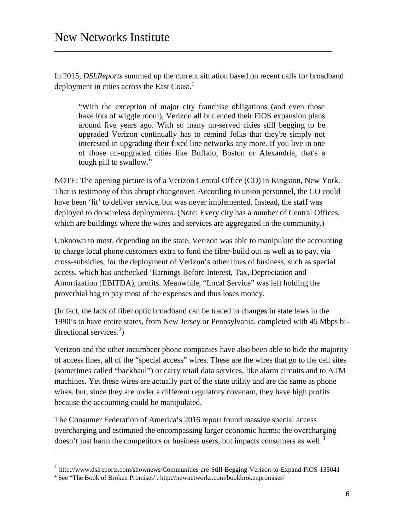In 2015*, DSLReports* summed up the current situation based on recent calls for broadband deployment in cities across the East Coast.<sup>1</sup>

"With the exception of major city franchise obligations (and even those have lots of wiggle room), Verizon all but ended their FiOS expansion plans around five years ago. With so many un-served cities still begging to be upgraded Verizon continually has to remind folks that they're simply not interested in upgrading their fixed line networks any more. If you live in one of those un-upgraded cities like Buffalo, Boston or Alexandria, that's a tough pill to swallow."

NOTE: The opening picture is of a Verizon Central Office (CO) in Kingston, New York. That is testimony of this abrupt changeover. According to union personnel, the CO could have been 'lit' to deliver service, but was never implemented. Instead, the staff was deployed to do wireless deployments. (Note: Every city has a number of Central Offices, which are buildings where the wires and services are aggregated in the community.)

Unknown to most, depending on the state, Verizon was able to manipulate the accounting to charge local phone customers extra to fund the fiber-build out as well as to pay, via cross-subsidies, for the deployment of Verizon's other lines of business, such as special access, which has unchecked 'Earnings Before Interest, Tax, Depreciation and Amortization (EBITDA), profits. Meanwhile, "Local Service" was left holding the proverbial bag to pay most of the expenses and thus loses money.

(In fact, the lack of fiber optic broadband can be traced to changes in state laws in the 1990's to have entire states, from New Jersey or Pennsylvania, completed with 45 Mbps bi directional services. $^{2}$ )

Verizon and the other incumbent phone companies have also been able to hide the majority of access lines, all of the "special access" wires. These are the wires that go to the cell sites (sometimes called "backhaul") or carry retail data services, like alarm circuits and to ATM machines. Yet these wires are actually part of the state utility and are the same as phone wires, but, since they are under a different regulatory covenant, they have high profits because the accounting could be manipulated.

The Consumer Federation of America's 2016 report found massive special access overcharging and estimated the encompassing larger economic harms; the overcharging doesn't just harm the competitors or business users, but impacts consumers as well.<sup>3</sup>

<sup>1</sup> http://www.dslreports.com/shownews/Communities-are-Still-Begging-Verizon-to-Expand-FiOS-135041

<sup>&</sup>lt;sup>2</sup> See "The Book of Broken Promises". http://newnetworks.com/bookbrokenpromises/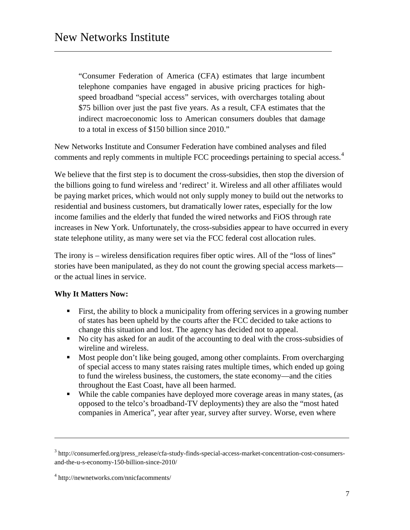"Consumer Federation of America (CFA) estimates that large incumbent telephone companies have engaged in abusive pricing practices for high speed broadband "special access" services, with overcharges totaling about \$75 billion over just the past five years. As a result, CFA estimates that the indirect macroeconomic loss to American consumers doubles that damage to a total in excess of \$150 billion since 2010."

New Networks Institute and Consumer Federation have combined analyses and filed comments and reply comments in multiple FCC proceedings pertaining to special access.<sup>4</sup>

We believe that the first step is to document the cross-subsidies, then stop the diversion of the billions going to fund wireless and 'redirect' it. Wireless and all other affiliates would be paying market prices, which would not only supply money to build out the networks to residential and business customers, but dramatically lower rates, especially for the low income families and the elderly that funded the wired networks and FiOS through rate increases in New York. Unfortunately, the cross-subsidies appear to have occurred in every state telephone utility, as many were set via the FCC federal cost allocation rules.

The irony is – wireless densification requires fiber optic wires. All of the "loss of lines" stories have been manipulated, as they do not count the growing special access markets or the actual lines in service.

## **Why It Matters Now:**

- First, the ability to block a municipality from offering services in a growing number of states has been upheld by the courts after the FCC decided to take actions to change this situation and lost. The agency has decided not to appeal.
- No city has asked for an audit of the accounting to deal with the cross-subsidies of wireline and wireless.
- Most people don't like being gouged, among other complaints. From overcharging of special access to many states raising rates multiple times, which ended up going to fund the wireless business, the customers, the state economy—and the cities throughout the East Coast, have all been harmed.
- While the cable companies have deployed more coverage areas in many states, (as opposed to the telco's broadband-TV deployments) they are also the "most hated companies in America", year after year, survey after survey. Worse, even where

<sup>&</sup>lt;sup>3</sup> http://consumerfed.org/press\_release/cfa-study-finds-special-access-market-concentration-cost-consumersand-the-u-s-economy-150-billion-since-2010/

<sup>4</sup> http://newnetworks.com/nnicfacomments/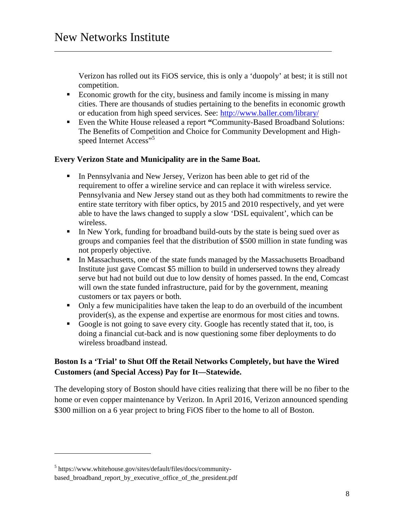Verizon has rolled out its FiOS service, this is only a 'duopoly' at best; it is still not competition.

- **Example 1** Economic growth for the city, business and family income is missing in many cities. There are thousands of studies pertaining to the benefits in economic growth or education from high speed services. See: http://www.baller.com/library/
- Even the White House released a report **"**Community-Based Broadband Solutions: The Benefits of Competition and Choice for Community Development and High speed Internet Access"<sup>5</sup>

#### **Every Verizon State and Municipality are in the Same Boat.**

- In Pennsylvania and New Jersey, Verizon has been able to get rid of the requirement to offer a wireline service and can replace it with wireless service. Pennsylvania and New Jersey stand out as they both had commitments to rewire the entire state territory with fiber optics, by 2015 and 2010 respectively, and yet were able to have the laws changed to supply a slow 'DSL equivalent', which can be wireless.
- In New York, funding for broadband build-outs by the state is being sued over as groups and companies feel that the distribution of \$500 million in state funding was not properly objective.
- In Massachusetts, one of the state funds managed by the Massachusetts Broadband Institute just gave Comcast \$5 million to build in underserved towns they already serve but had not build out due to low density of homes passed. In the end, Comcast will own the state funded infrastructure, paid for by the government, meaning customers or tax payers or both.
- Only a few municipalities have taken the leap to do an overbuild of the incumbent provider(s), as the expense and expertise are enormous for most cities and towns.
- Google is not going to save every city. Google has recently stated that it, too, is doing a financial cut-back and is now questioning some fiber deployments to do wireless broadband instead.

## **Boston Is a 'Trial' to Shut Off the Retail Networks Completely, but have the Wired Customers (and Special Access) Pay for It—Statewide.**

The developing story of Boston should have cities realizing that there will be no fiber to the home or even copper maintenance by Verizon. In April 2016, Verizon announced spending \$300 million on a 6 year project to bring FiOS fiber to the home to all of Boston.

<sup>&</sup>lt;sup>5</sup> https://www.whitehouse.gov/sites/default/files/docs/communitybased\_broadband\_report\_by\_executive\_office\_of\_the\_president.pdf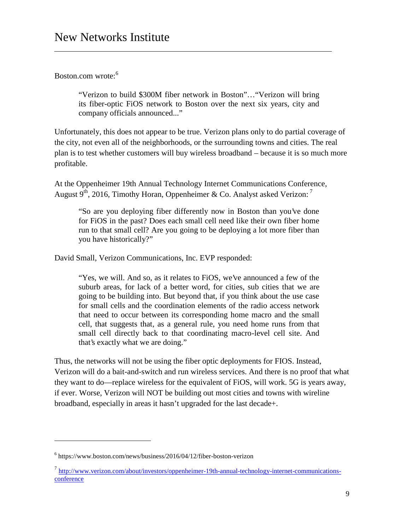Boston.com wrote:<sup>6</sup>

"Verizon to build \$300M fiber network in Boston"…"Verizon will bring its fiber-optic FiOS network to Boston over the next six years, city and company officials announced..."

Unfortunately, this does not appear to be true. Verizon plans only to do partial coverage of the city, not even all of the neighborhoods, or the surrounding towns and cities. The real plan is to test whether customers will buy wireless broadband – because it is so much more profitable.

At the Oppenheimer 19th Annual Technology Internet Communications Conference, August 9<sup>th</sup>, 2016, Timothy Horan, Oppenheimer & Co. Analyst asked Verizon:<sup>7</sup>

"So are you deploying fiber differently now in Boston than you've done for FiOS in the past? Does each small cell need like their own fiber home run to that small cell? Are you going to be deploying a lot more fiber than you have historically?"

David Small, Verizon Communications, Inc. EVP responded:

"Yes, we will. And so, as it relates to FiOS, we've announced a few of the suburb areas, for lack of a better word, for cities, sub cities that we are going to be building into. But beyond that, if you think about the use case for small cells and the coordination elements of the radio access network that need to occur between its corresponding home macro and the small cell, that suggests that, as a general rule, you need home runs from that small cell directly back to that coordinating macro-level cell site. And that's exactly what we are doing."

Thus, the networks will not be using the fiber optic deployments for FIOS. Instead, Verizon will do a bait-and-switch and run wireless services. And there is no proof that what they want to do—replace wireless for the equivalent of FiOS, will work. 5G is years away, if ever. Worse, Verizon will NOT be building out most cities and towns with wireline broadband, especially in areas it hasn't upgraded for the last decade+.

<sup>6</sup> https://www.boston.com/news/business/2016/04/12/fiber-boston-verizon

 $^7$  http://www.verizon.com/about/investors/oppenheimer-19th-annual-technology-internet-communicationsconference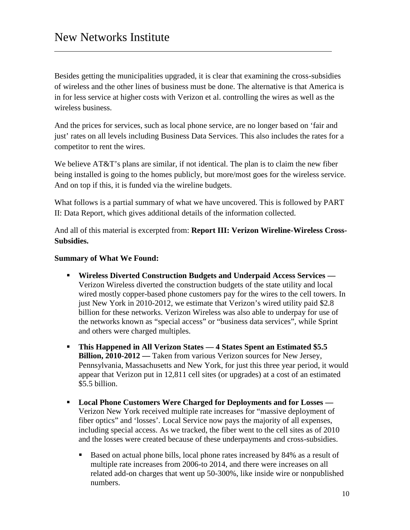Besides getting the municipalities upgraded, it is clear that examining the cross-subsidies of wireless and the other lines of business must be done. The alternative is that America is in for less service at higher costs with Verizon et al. controlling the wires as well as the wireless business.

And the prices for services, such as local phone service, are no longer based on 'fair and just' rates on all levels including Business Data Services. This also includes the rates for a competitor to rent the wires.

We believe AT&T's plans are similar, if not identical. The plan is to claim the new fiber being installed is going to the homes publicly, but more/most goes for the wireless service. And on top if this, it is funded via the wireline budgets.

What follows is a partial summary of what we have uncovered. This is followed by PART II: Data Report, which gives additional details of the information collected.

And all of this material is excerpted from: **Report III: Verizon Wireline-Wireless Cross- Subsidies.**

## **Summary of What We Found:**

- **Wireless Diverted Construction Budgets and Underpaid Access Services —** Verizon Wireless diverted the construction budgets of the state utility and local wired mostly copper-based phone customers pay for the wires to the cell towers. In just New York in 2010-2012, we estimate that Verizon's wired utility paid \$2.8 billion for these networks. Verizon Wireless was also able to underpay for use of the networks known as "special access" or "business data services", while Sprint and others were charged multiples.
- **This Happened in All Verizon States — 4 States Spent an Estimated \$5.5 Billion, 2010-2012 —** Taken from various Verizon sources for New Jersey, Pennsylvania, Massachusetts and New York, for just this three year period, it would appear that Verizon put in 12,811 cell sites (or upgrades) at a cost of an estimated \$5.5 billion.
- **Local Phone Customers Were Charged for Deployments and for Losses —** Verizon New York received multiple rate increases for "massive deployment of fiber optics" and 'losses'. Local Service now pays the majority of all expenses, including special access. As we tracked, the fiber went to the cell sites as of 2010 and the losses were created because of these underpayments and cross-subsidies.
	- Based on actual phone bills, local phone rates increased by 84% as a result of multiple rate increases from 2006-to 2014, and there were increases on all related add-on charges that went up 50-300%, like inside wire or nonpublished numbers.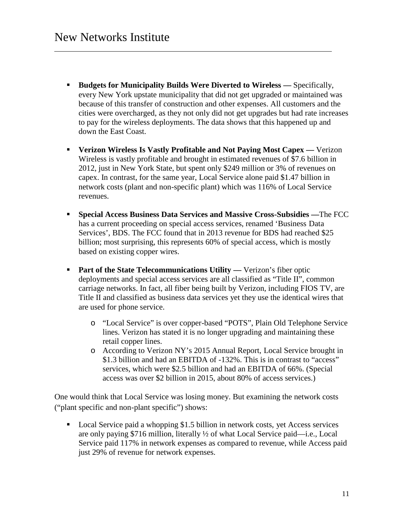- **Budgets for Municipality Builds Were Diverted to Wireless —** Specifically, every New York upstate municipality that did not get upgraded or maintained was because of this transfer of construction and other expenses. All customers and the cities were overcharged, as they not only did not get upgrades but had rate increases to pay for the wireless deployments. The data shows that this happened up and down the East Coast.
- **Verizon Wireless Is Vastly Profitable and Not Paying Most Capex —** Verizon Wireless is vastly profitable and brought in estimated revenues of \$7.6 billion in 2012, just in New York State, but spent only \$249 million or 3% of revenues on capex. In contrast, for the same year, Local Service alone paid \$1.47 billion in network costs (plant and non-specific plant) which was 116% of Local Service revenues.
- **Special Access Business Data Services and Massive Cross-Subsidies —**The FCC has a current proceeding on special access services, renamed 'Business Data Services', BDS. The FCC found that in 2013 revenue for BDS had reached \$25 billion; most surprising, this represents 60% of special access, which is mostly based on existing copper wires.
- **Part of the State Telecommunications Utility Verizon's fiber optic** deployments and special access services are all classified as "Title II", common carriage networks. In fact, all fiber being built by Verizon, including FIOS TV, are Title II and classified as business data services yet they use the identical wires that are used for phone service.
	- o "Local Service" is over copper-based "POTS", Plain Old Telephone Service lines. Verizon has stated it is no longer upgrading and maintaining these retail copper lines.
	- o According to Verizon NY's 2015 Annual Report, Local Service brought in \$1.3 billion and had an EBITDA of -132%. This is in contrast to "access" services, which were \$2.5 billion and had an EBITDA of 66%. (Special access was over \$2 billion in 2015, about 80% of access services.)

One would think that Local Service was losing money. But examining the network costs ("plant specific and non-plant specific") shows:

■ Local Service paid a whopping \$1.5 billion in network costs, yet Access services are only paying \$716 million, literally ½ of what Local Service paid—i.e., Local Service paid 117% in network expenses as compared to revenue, while Access paid just 29% of revenue for network expenses.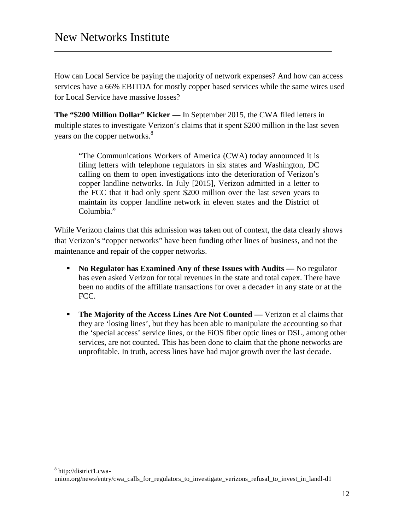How can Local Service be paying the majority of network expenses? And how can access services have a 66% EBITDA for mostly copper based services while the same wires used for Local Service have massive losses?

**The "\$200 Million Dollar" Kicker —** In September 2015, the CWA filed letters in multiple states to investigate Verizon's claims that it spent \$200 million in the last seven years on the copper networks.<sup>8</sup>

"The Communications Workers of America (CWA) today announced it is filing letters with telephone regulators in six states and Washington, DC calling on them to open investigations into the deterioration of Verizon's copper landline networks. In July [2015], Verizon admitted in a letter to the FCC that it had only spent \$200 million over the last seven years to maintain its copper landline network in eleven states and the District of Columbia."

While Verizon claims that this admission was taken out of context, the data clearly shows that Verizon's "copper networks" have been funding other lines of business, and not the maintenance and repair of the copper networks.

- **No Regulator has Examined Any of these Issues with Audits —** No regulator has even asked Verizon for total revenues in the state and total capex. There have been no audits of the affiliate transactions for over a decade+ in any state or at the FCC.
- **The Majority of the Access Lines Are Not Counted —** Verizon et al claims that they are 'losing lines', but they has been able to manipulate the accounting so that the 'special access' service lines, or the FiOS fiber optic lines or DSL, among other services, are not counted. This has been done to claim that the phone networks are unprofitable. In truth, access lines have had major growth over the last decade.

<sup>8</sup> http://district1.cwa-

union.org/news/entry/cwa\_calls\_for\_regulators\_to\_investigate\_verizons\_refusal\_to\_invest\_in\_landl-d1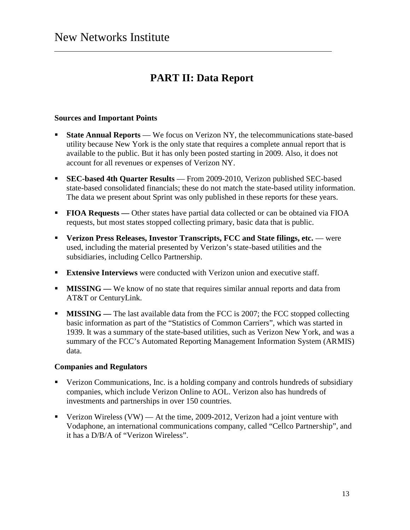# **PART II: Data Report**

#### **Sources and Important Points**

- **State Annual Reports** We focus on Verizon NY, the telecommunications state-based utility because New York is the only state that requires a complete annual report that is available to the public. But it has only been posted starting in 2009. Also, it does not account for all revenues or expenses of Verizon NY.
- **SEC-based 4th Quarter Results** From 2009-2010, Verizon published SEC-based state-based consolidated financials; these do not match the state-based utility information. The data we present about Sprint was only published in these reports for these years.
- **FIOA Requests** Other states have partial data collected or can be obtained via FIOA requests, but most states stopped collecting primary, basic data that is public.
- **Verizon Press Releases, Investor Transcripts, FCC and State filings, etc.** were used, including the material presented by Verizon's state-based utilities and the subsidiaries, including Cellco Partnership.
- **Extensive Interviews** were conducted with Verizon union and executive staff.
- **MISSING** We know of no state that requires similar annual reports and data from AT&T or CenturyLink.
- **MISSING** The last available data from the FCC is 2007; the FCC stopped collecting basic information as part of the "Statistics of Common Carriers", which was started in 1939. It was a summary of the state-based utilities, such as Verizon New York, and was a summary of the FCC's Automated Reporting Management Information System (ARMIS) data.

## **Companies and Regulators**

- Verizon Communications, Inc. is a holding company and controls hundreds of subsidiary companies, which include Verizon Online to AOL. Verizon also has hundreds of investments and partnerships in over 150 countries.
- Verizon Wireless (VW) At the time, 2009-2012, Verizon had a joint venture with Vodaphone, an international communications company, called "Cellco Partnership", and it has a D/B/A of "Verizon Wireless".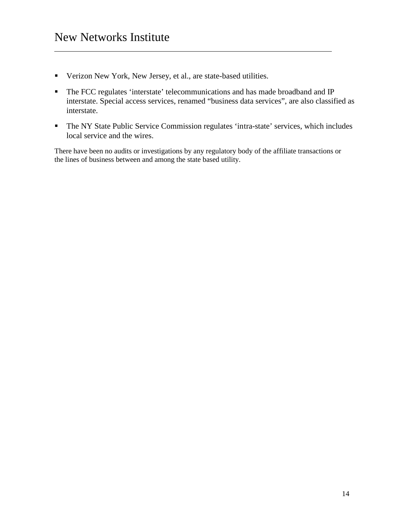- Verizon New York, New Jersey, et al., are state-based utilities.
- The FCC regulates 'interstate' telecommunications and has made broadband and IP interstate. Special access services, renamed "business data services", are also classified as interstate.
- The NY State Public Service Commission regulates 'intra-state' services, which includes local service and the wires.

There have been no audits or investigations by any regulatory body of the affiliate transactions or the lines of business between and among the state based utility.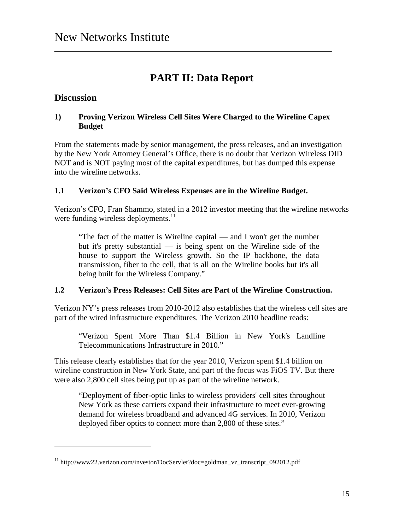# **PART II: Data Report**

## **Discussion**

## **1) Proving Verizon Wireless Cell Sites Were Charged to the Wireline Capex Budget**

From the statements made by senior management, the press releases, and an investigation by the New York Attorney General's Office, there is no doubt that Verizon Wireless DID NOT and is NOT paying most of the capital expenditures, but has dumped this expense into the wireline networks.

#### **1.1 Verizon's CFO Said Wireless Expenses are in the Wireline Budget.**

Verizon's CFO, Fran Shammo, stated in a 2012 investor meeting that the wireline networks were funding wireless deployments. $^{11}$ 

"The fact of the matter is Wireline capital — and I won't get the number but it's pretty substantial — is being spent on the Wireline side of the house to support the Wireless growth. So the IP backbone, the data transmission, fiber to the cell, that is all on the Wireline books but it's all being built for the Wireless Company."

#### **1.2 Verizon's Press Releases: Cell Sites are Part of the Wireline Construction.**

Verizon NY's press releases from 2010-2012 also establishes that the wireless cell sites are part of the wired infrastructure expenditures. The Verizon 2010 headline reads:

"Verizon Spent More Than \$1.4 Billion in New York's Landline Telecommunications Infrastructure in 2010."

This release clearly establishes that for the year 2010, Verizon spent \$1.4 billion on wireline construction in New York State, and part of the focus was FiOS TV. But there were also 2,800 cell sites being put up as part of the wireline network.

"Deployment of fiber-optic links to wireless providers' cell sites throughout New York as these carriers expand their infrastructure to meet ever-growing demand for wireless broadband and advanced 4G services. In 2010, Verizon deployed fiber optics to connect more than 2,800 of these sites."

<sup>&</sup>lt;sup>11</sup> http://www22.verizon.com/investor/DocServlet?doc=goldman\_vz\_transcript\_092012.pdf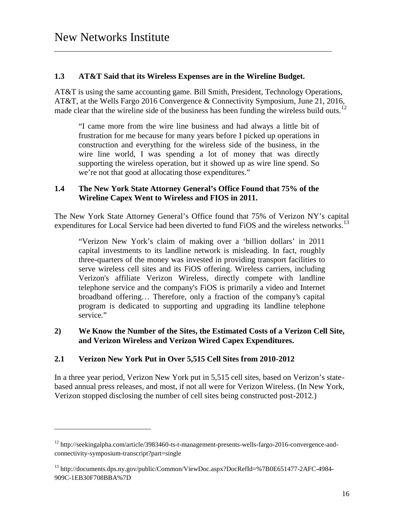## **1.3 AT&T Said that its Wireless Expenses are in the Wireline Budget.**

AT&T is using the same accounting game. Bill Smith, President, Technology Operations, AT&T, at the Wells Fargo 2016 Convergence & Connectivity Symposium, June 21, 2016, made clear that the wireline side of the business has been funding the wireless build outs.<sup>12</sup>

"I came more from the wire line business and had always a little bit of frustration for me because for many years before I picked up operations in construction and everything for the wireless side of the business, in the wire line world, I was spending a lot of money that was directly supporting the wireless operation, but it showed up as wire line spend. So we're not that good at allocating those expenditures."

#### **1.4 The New York State Attorney General's Office Found that 75% of the Wireline Capex Went to Wireless and FIOS in 2011.**

The New York State Attorney General's Office found that 75% of Verizon NY's capital expenditures for Local Service had been diverted to fund FiOS and the wireless networks.<sup>13</sup>

"Verizon New York's claim of making over a 'billion dollars' in 2011 capital investments to its landline network is misleading. In fact, roughly three-quarters of the money was invested in providing transport facilities to serve wireless cell sites and its FiOS offering. Wireless carriers, including Verizon's affiliate Verizon Wireless, directly compete with landline telephone service and the company's FiOS is primarily a video and Internet broadband offering… Therefore, only a fraction of the company's capital program is dedicated to supporting and upgrading its landline telephone service."

## **2) We Know the Number of the Sites, the Estimated Costs of a Verizon Cell Site, and Verizon Wireless and Verizon Wired Capex Expenditures.**

## **2.1 Verizon New York Put in Over 5,515 Cell Sites from 2010-2012**

In a three year period, Verizon New York put in 5,515 cell sites, based on Verizon's state based annual press releases, and most, if not all were for Verizon Wireless. (In New York, Verizon stopped disclosing the number of cell sites being constructed post-2012.)

<sup>&</sup>lt;sup>12</sup> http://seekingalpha.com/article/3983460-ts-t-management-presents-wells-fargo-2016-convergence-andconnectivity-symposium-transcript?part=single

<sup>&</sup>lt;sup>13</sup> http://documents.dps.ny.gov/public/Common/ViewDoc.aspx?DocRefId=%7B0E651477-2AFC-4984-909C-1EB30F708BBA%7D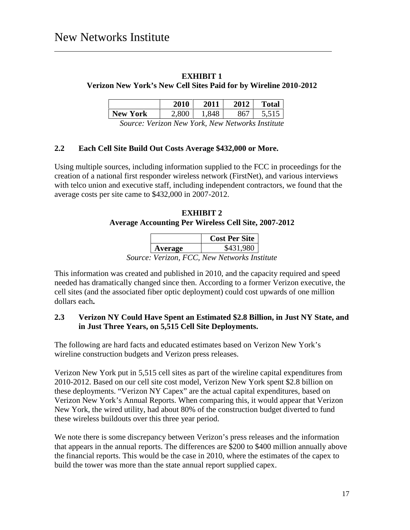## **EXHIBIT 1**

#### **Verizon New York's New Cell Sites Paid for by Wireline 2010-2012**

|                                                  | 2010  | 2011  | 2012 | <b>Total</b> |  |  |
|--------------------------------------------------|-------|-------|------|--------------|--|--|
| <b>New York</b>                                  | 2,800 | 1,848 | 867  | 5,515        |  |  |
| Source: Verizon New York, New Networks Institute |       |       |      |              |  |  |

## **2.2 Each Cell Site Build Out Costs Average \$432,000 or More.**

Using multiple sources, including information supplied to the FCC in proceedings for the creation of a national first responder wireless network (FirstNet), and various interviews with telco union and executive staff, including independent contractors, we found that the average costs per site came to \$432,000 in 2007-2012.

## **EXHIBIT 2 Average Accounting Per Wireless Cell Site, 2007-2012**

|               | <b>Cost Per Site</b>                                                |  |
|---------------|---------------------------------------------------------------------|--|
| Average       | \$431,980                                                           |  |
| and the state | $U \cdot \cdot \cdot$ $TCT \cdot M \cdot M \cdot M \cdot M \cdot M$ |  |

*Source: Verizon, FCC, New Networks Institute*

This information was created and published in 2010, and the capacity required and speed needed has dramatically changed since then. According to a former Verizon executive, the cell sites (and the associated fiber optic deployment) could cost upwards of one million dollars each**.**

## **2.3 Verizon NY Could Have Spent an Estimated \$2.8 Billion, in Just NY State, and in Just Three Years, on 5,515 Cell Site Deployments.**

The following are hard facts and educated estimates based on Verizon New York's wireline construction budgets and Verizon press releases.

Verizon New York put in 5,515 cell sites as part of the wireline capital expenditures from 2010-2012. Based on our cell site cost model, Verizon New York spent \$2.8 billion on these deployments. "Verizon NY Capex" are the actual capital expenditures, based on Verizon New York's Annual Reports. When comparing this, it would appear that Verizon New York, the wired utility, had about 80% of the construction budget diverted to fund these wireless buildouts over this three year period.

We note there is some discrepancy between Verizon's press releases and the information that appears in the annual reports. The differences are \$200 to \$400 million annually above the financial reports. This would be the case in 2010, where the estimates of the capex to build the tower was more than the state annual report supplied capex.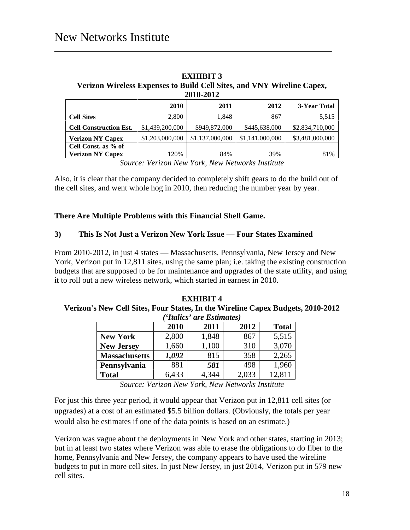| 2010-2012                     |                 |                 |                 |                 |  |  |  |  |
|-------------------------------|-----------------|-----------------|-----------------|-----------------|--|--|--|--|
|                               | <b>2010</b>     | 2011            | 2012            | 3-Year Total    |  |  |  |  |
| <b>Cell Sites</b>             | 2,800           | 1.848           | 867             | 5,515           |  |  |  |  |
| <b>Cell Construction Est.</b> | \$1,439,200,000 | \$949,872,000   | \$445,638,000   | \$2,834,710,000 |  |  |  |  |
| <b>Verizon NY Capex</b>       | \$1,203,000,000 | \$1,137,000,000 | \$1,141,000,000 | \$3,481,000,000 |  |  |  |  |
| Cell Const. as % of           |                 |                 |                 |                 |  |  |  |  |
| <b>Verizon NY Capex</b>       | 120%            | 84%             | 39%             | 81%             |  |  |  |  |

**EXHIBIT 3 Verizon Wireless Expenses to Build Cell Sites, and VNY Wireline Capex,**

*Source: Verizon New York, New Networks Institute*

Also, it is clear that the company decided to completely shift gears to do the build out of the cell sites, and went whole hog in 2010, then reducing the number year by year.

#### **There Are Multiple Problems with this Financial Shell Game.**

#### **3) This Is Not Just a Verizon New York Issue — Four States Examined**

From 2010-2012, in just 4 states — Massachusetts, Pennsylvania, New Jersey and New York, Verizon put in 12,811 sites, using the same plan; i.e. taking the existing construction budgets that are supposed to be for maintenance and upgrades of the state utility, and using it to roll out a new wireless network, which started in earnest in 2010.

| <b>EXHIBIT 4</b>                                                                |
|---------------------------------------------------------------------------------|
| Verizon's New Cell Sites, Four States, In the Wireline Capex Budgets, 2010-2012 |
|                                                                                 |

|                      | Tiques are <i>Esumates</i> |       |       |              |  |  |
|----------------------|----------------------------|-------|-------|--------------|--|--|
|                      | 2010                       | 2011  | 2012  | <b>Total</b> |  |  |
| <b>New York</b>      | 2,800                      | 1,848 | 867   | 5,515        |  |  |
| <b>New Jersey</b>    | 1,660                      | 1,100 | 310   | 3,070        |  |  |
| <b>Massachusetts</b> | 1,092                      | 815   | 358   | 2,265        |  |  |
| Pennsylvania         | 881                        | 581   | 498   | 1,960        |  |  |
| <b>Total</b>         | 6,433                      | 4,344 | 2,033 | 12,811       |  |  |

*Source: Verizon New York, New Networks Institute*

For just this three year period, it would appear that Verizon put in 12,811 cell sites (or upgrades) at a cost of an estimated \$5.5 billion dollars. (Obviously, the totals per year would also be estimates if one of the data points is based on an estimate.)

Verizon was vague about the deployments in New York and other states, starting in 2013; but in at least two states where Verizon was able to erase the obligations to do fiber to the home, Pennsylvania and New Jersey, the company appears to have used the wireline budgets to put in more cell sites. In just New Jersey, in just 2014, Verizon put in 579 new cell sites.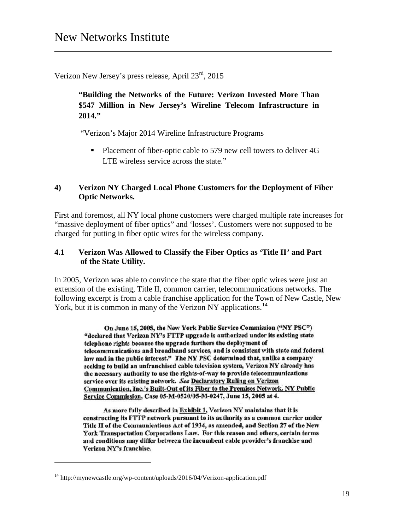Verizon New Jersey's press release, April  $23<sup>rd</sup>$ , 2015

**"Building the Networks of the Future: Verizon Invested More Than \$547 Million in New Jersey's Wireline Telecom Infrastructure in 2014."**

"Verizon's Major 2014 Wireline Infrastructure Programs

**Placement of fiber-optic cable to 579 new cell towers to deliver 4G** LTE wireless service across the state."

## **4) Verizon NY Charged Local Phone Customers for the Deployment of Fiber Optic Networks.**

First and foremost, all NY local phone customers were charged multiple rate increases for "massive deployment of fiber optics" and 'losses'. Customers were not supposed to be charged for putting in fiber optic wires for the wireless company.

## **4.1 Verizon Was Allowed to Classify the Fiber Optics as 'Title II' and Part of the State Utility.**

In 2005, Verizon was able to convince the state that the fiber optic wires were just an extension of the existing, Title II, common carrier, telecommunications networks. The following excerpt is from a cable franchise application for the Town of New Castle, New York, but it is common in many of the Verizon NY applications.<sup>14</sup>

> On June 15, 2005, the New York Public Service Commission ("NY PSC") "declared that Verizon NY's FTTP upgrade is authorized under its existing state telephone rights because the upgrade furthers the deployment of telecommunications and broadband services, and is consistent with state and federal law and in the public interest." The NY PSC determined that, unlike a company seeking to build an unfranchised cable television system, Verizon NY already has the necessary authority to use the rights-of-way to provide telecommunications service over its existing network. See Declaratory Ruling on Verizon Communication, Inc.'s Built-Out of its Fiber to the Premises Network, NY Public Service Commission, Case 05-M-0520/05-M-0247, June 15, 2005 at 4.

As more fully described in Exhibit 1, Verizon NY maintains that it is constructing its FTTP network pursuant to its authority as a common carrier under Title II of the Communications Act of 1934, as amended, and Section 27 of the New York Transportation Corporations Law. For this reason and others, certain terms and conditions may differ between the incumbent cable provider's franchise and Verizon NY's franchise.

 $14 \text{ http://mynewcastle.org/wp-content/uploads/2016/04/Verizon-application.pdf}$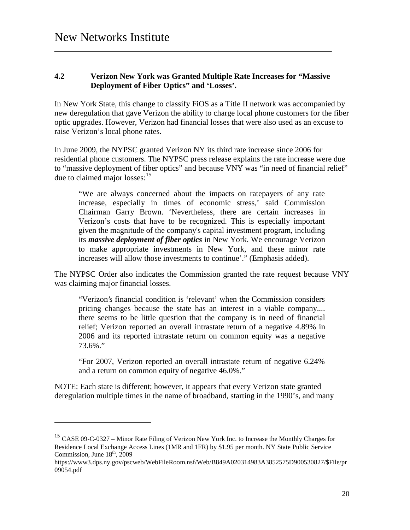## **4.2 Verizon New York was Granted Multiple Rate Increases for "Massive** Deployment of Fiber Optics" and 'Losses'.

In New York State, this change to classify FiOS as a Title II network was accompanied by new deregulation that gave Verizon the ability to charge local phone customers for the fiber optic upgrades. However, Verizon had financial losses that were also used as an excuse to raise Verizon's local phone rates.

In June 2009, the NYPSC granted Verizon NY its third rate increase since 2006 for residential phone customers. The NYPSC press release explains the rate increase were due to "massive deployment of fiber optics" and because VNY was "in need of financial relief" due to claimed major losses: $15$ 

"We are always concerned about the impacts on ratepayers of any rate increase, especially in times of economic stress,' said Commission Chairman Garry Brown. 'Nevertheless, there are certain increases in Verizon's costs that have to be recognized. This is especially important given the magnitude of the company's capital investment program, including its *massive deployment of fiber optics* in New York. We encourage Verizon to make appropriate investments in New York, and these minor rate increases will allow those investments to continue'." (Emphasis added).

The NYPSC Order also indicates the Commission granted the rate request because VNY was claiming major financial losses.

"Verizon's financial condition is 'relevant' when the Commission considers pricing changes because the state has an interest in a viable company.... there seems to be little question that the company is in need of financial relief; Verizon reported an overall intrastate return of a negative 4.89% in 2006 and its reported intrastate return on common equity was a negative 73.6%."

"For 2007, Verizon reported an overall intrastate return of negative 6.24% and a return on common equity of negative 46.0%."

NOTE: Each state is different; however, it appears that every Verizon state granted deregulation multiple times in the name of broadband, starting in the 1990's, and many

<sup>&</sup>lt;sup>15</sup> CASE 09-C-0327 – Minor Rate Filing of Verizon New York Inc. to Increase the Monthly Charges for Residence Local Exchange Access Lines (1MR and 1FR) by \$1.95 per month. NY State Public Service Commission, June  $18<sup>th</sup>$ , 2009

https://www3.dps.ny.gov/pscweb/WebFileRoom.nsf/Web/B849A020314983A3852575D900530827/\$File/pr 09054.pdf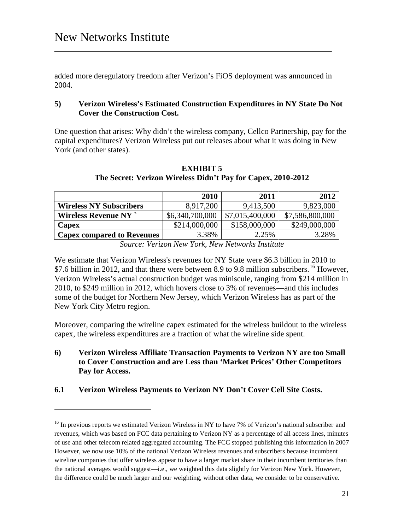added more deregulatory freedom after Verizon's FiOS deployment was announced in 2004.

## **5) Verizon Wireless's Estimated Construction Expenditures in NY State Do Not Cover the Construction Cost.**

One question that arises: Why didn't the wireless company, Cellco Partnership, pay for the capital expenditures? Verizon Wireless put out releases about what it was doing in New York (and other states).

|                                   | 2010            | 2011            | 2012            |
|-----------------------------------|-----------------|-----------------|-----------------|
| <b>Wireless NY Subscribers</b>    | 8,917,200       | 9,413,500       | 9,823,000       |
| <b>Wireless Revenue NY</b>        | \$6,340,700,000 | \$7,015,400,000 | \$7,586,800,000 |
| Capex                             | \$214,000,000   | \$158,000,000   | \$249,000,000   |
| <b>Capex compared to Revenues</b> | 3.38%           | 2.25%           | 3.28%           |

**EXHIBIT 5 The Secret: Verizon Wireless Didn't Pay for Capex, 2010-2012**

*Source: Verizon New York, New Networks Institute*

We estimate that Verizon Wireless's revenues for NY State were \$6.3 billion in 2010 to \$7.6 billion in 2012, and that there were between 8.9 to 9.8 million subscribers.<sup>16</sup> However, Verizon Wireless's actual construction budget was miniscule, ranging from \$214 million in 2010, to \$249 million in 2012, which hovers close to 3% of revenues—and this includes some of the budget for Northern New Jersey, which Verizon Wireless has as part of the New York City Metro region.

Moreover, comparing the wireline capex estimated for the wireless buildout to the wireless capex, the wireless expenditures are a fraction of what the wireline side spent.

**6) Verizon Wireless Affiliate Transaction Payments to Verizon NY are too Small to Cover Construction and are Less than 'Market Prices' Other Competitors Pay for Access.**

## **6.1 Verizon Wireless Payments to Verizon NY Don't Cover Cell Site Costs.**

<sup>&</sup>lt;sup>16</sup> In previous reports we estimated Verizon Wireless in NY to have 7% of Verizon's national subscriber and revenues, which was based on FCC data pertaining to Verizon NY as a percentage of all access lines, minutes of use and other telecom related aggregated accounting. The FCC stopped publishing this information in 2007 However, we now use 10% of the national Verizon Wireless revenues and subscribers because incumbent wireline companies that offer wireless appear to have a larger market share in their incumbent territories than the national averages would suggest—i.e., we weighted this data slightly for Verizon New York. However, the difference could be much larger and our weighting, without other data, we consider to be conservative.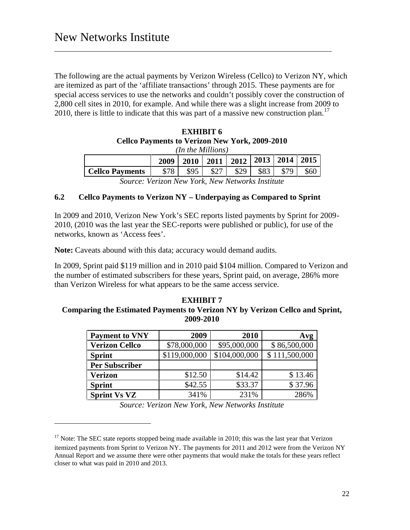The following are the actual payments by Verizon Wireless (Cellco) to Verizon NY, which are itemized as part of the 'affiliate transactions' through 2015. These payments are for special access services to use the networks and couldn't possibly cover the construction of 2,800 cell sites in 2010, for example. And while there was a slight increase from 2009 to 2010, there is little to indicate that this was part of a massive new construction plan.<sup>17</sup>

| <b>Cellco Payments to Verizon New York, 2009-2010</b> |              |          |  |                                       |  |  |        |  |
|-------------------------------------------------------|--------------|----------|--|---------------------------------------|--|--|--------|--|
| (In the Millions)                                     |              |          |  |                                       |  |  |        |  |
| 2009   2010   2011   2012   2013   2014   2015        |              |          |  |                                       |  |  |        |  |
| <b>Cellco Payments</b>                                | <b>S78</b> I | - \$95 I |  | $$27 \mid $29 \mid $83 \mid $79 \mid$ |  |  | \$60 l |  |

| <b>EXHIBIT 6</b>                                      |
|-------------------------------------------------------|
| <b>Cellco Payments to Verizon New York, 2009-2010</b> |
| $(I_1, I_2, M:11; \ldots)$                            |

*Source: Verizon New York, New Networks Institute*

#### **6.2 Cellco Payments to Verizon NY – Underpaying as Compared to Sprint**

In 2009 and 2010, Verizon New York's SEC reports listed payments by Sprint for 2009- 2010, (2010 was the last year the SEC-reports were published or public), for use of the networks, known as 'Access fees'.

**Note:** Caveats abound with this data; accuracy would demand audits.

In 2009, Sprint paid \$119 million and in 2010 paid \$104 million. Compared to Verizon and the number of estimated subscribers for these years, Sprint paid, on average, 286% more than Verizon Wireless for what appears to be the same access service.

#### **EXHIBIT 7 Comparing the Estimated Payments to Verizon NY by Verizon Cellco and Sprint, 2009-2010**

| <b>Payment to VNY</b> | 2009          | 2010          | Avg           |
|-----------------------|---------------|---------------|---------------|
| <b>Verizon Cellco</b> | \$78,000,000  | \$95,000,000  | \$86,500,000  |
| <b>Sprint</b>         | \$119,000,000 | \$104,000,000 | \$111,500,000 |
| <b>Per Subscriber</b> |               |               |               |
| <b>Verizon</b>        | \$12.50       | \$14.42       | \$13.46       |
| <b>Sprint</b>         | \$42.55       | \$33.37       | \$37.96       |
| <b>Sprint Vs VZ</b>   | 341%          | 231%          | 286%          |

*Source: Verizon New York, New Networks Institute*

 $17$  Note: The SEC state reports stopped being made available in 2010; this was the last year that Verizon itemized payments from Sprint to Verizon NY. The payments for 2011 and 2012 were from the Verizon NY Annual Report and we assume there were other payments that would make the totals for these years reflect closer to what was paid in 2010 and 2013.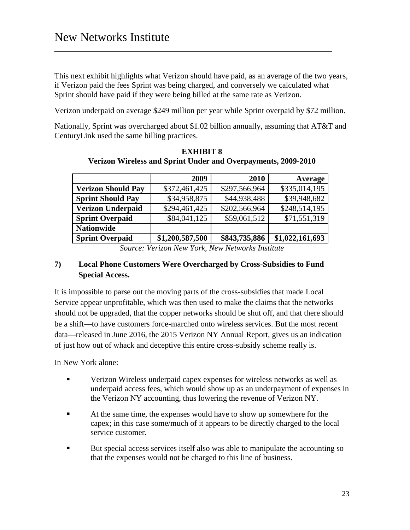This next exhibit highlights what Verizon should have paid, as an average of the two years, if Verizon paid the fees Sprint was being charged, and conversely we calculated what Sprint should have paid if they were being billed at the same rate as Verizon.

Verizon underpaid on average \$249 million per year while Sprint overpaid by \$72 million.

Nationally, Sprint was overcharged about \$1.02 billion annually, assuming that AT&T and CenturyLink used the same billing practices.

|                           | 2009            | 2010          | Average         |
|---------------------------|-----------------|---------------|-----------------|
| <b>Verizon Should Pay</b> | \$372,461,425   | \$297,566,964 | \$335,014,195   |
| <b>Sprint Should Pay</b>  | \$34,958,875    | \$44,938,488  | \$39,948,682    |
| <b>Verizon Underpaid</b>  | \$294,461,425   | \$202,566,964 | \$248,514,195   |
| <b>Sprint Overpaid</b>    | \$84,041,125    | \$59,061,512  | \$71,551,319    |
| <b>Nationwide</b>         |                 |               |                 |
| <b>Sprint Overpaid</b>    | \$1,200,587,500 | \$843,735,886 | \$1,022,161,693 |

**EXHIBIT 8 Verizon Wireless and Sprint Under and Overpayments, 2009-2010**

*Source: Verizon New York, New Networks Institute*

## **7) Local Phone Customers Were Overcharged by Cross-Subsidies to Fund Special Access.**

It is impossible to parse out the moving parts of the cross-subsidies that made Local Service appear unprofitable, which was then used to make the claims that the networks should not be upgraded, that the copper networks should be shut off, and that there should be a shift—to have customers force-marched onto wireless services. But the most recent data—released in June 2016, the 2015 Verizon NY Annual Report, gives us an indication of just how out of whack and deceptive this entire cross-subsidy scheme really is.

In New York alone:

- Verizon Wireless underpaid capex expenses for wireless networks as well as underpaid access fees, which would show up as an underpayment of expenses in the Verizon NY accounting, thus lowering the revenue of Verizon NY.
- At the same time, the expenses would have to show up somewhere for the capex; in this case some/much of it appears to be directly charged to the local service customer.
- But special access services itself also was able to manipulate the accounting so that the expenses would not be charged to this line of business.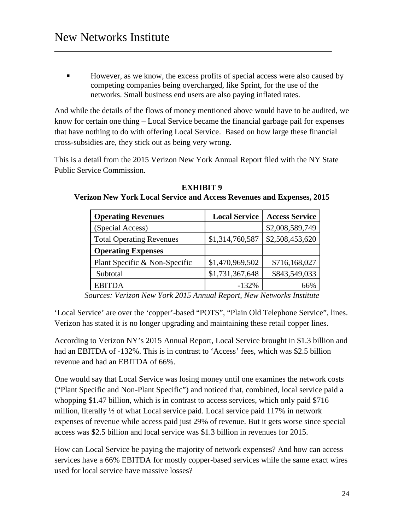However, as we know, the excess profits of special access were also caused by competing companies being overcharged, like Sprint, for the use of the networks. Small business end users are also paying inflated rates.

And while the details of the flows of money mentioned above would have to be audited, we know for certain one thing – Local Service became the financial garbage pail for expenses that have nothing to do with offering Local Service. Based on how large these financial cross-subsidies are, they stick out as being very wrong.

This is a detail from the 2015 Verizon New York Annual Report filed with the NY State Public Service Commission.

**Operating Revenues Local Service Access Service** (Special Access)  $\qquad \qquad \qquad \qquad$  \\ \$2,008,589,749 Total Operating Revenues  $\{ $1,314,760,587 \mid $2,508,453,620\}$ **Operating Expenses** Plant Specific & Non-Specific  $|$1,470,969,502$   $$716,168,027$ Subtotal \$1,731,367,648 \$843,549,033  $EBITDA$  -132% 66%

**EXHIBIT 9 Verizon New York Local Service and Access Revenues and Expenses, 2015**

*Sources: Verizon New York 2015 Annual Report, New Networks Institute*

'Local Service' are over the 'copper'-based "POTS", "Plain Old Telephone Service", lines. Verizon has stated it is no longer upgrading and maintaining these retail copper lines.

According to Verizon NY's 2015 Annual Report, Local Service brought in \$1.3 billion and had an EBITDA of -132%. This is in contrast to 'Access' fees, which was \$2.5 billion revenue and had an EBITDA of 66%.

One would say that Local Service was losing money until one examines the network costs ("Plant Specific and Non-Plant Specific") and noticed that, combined, local service paid a whopping \$1.47 billion, which is in contrast to access services, which only paid \$716 million, literally ½ of what Local service paid. Local service paid 117% in network expenses of revenue while access paid just 29% of revenue. But it gets worse since special access was \$2.5 billion and local service was \$1.3 billion in revenues for 2015.

How can Local Service be paying the majority of network expenses? And how can access services have a 66% EBITDA for mostly copper-based services while the same exact wires used for local service have massive losses?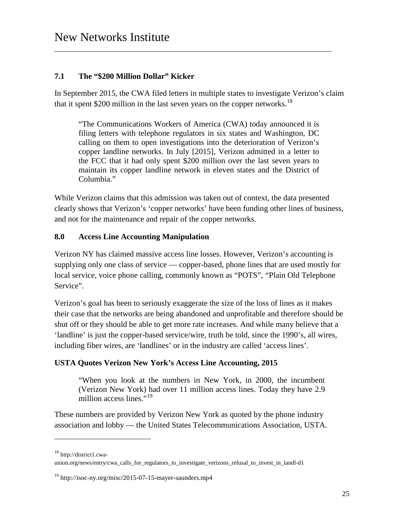## **7.1 The "\$200 Million Dollar" Kicker**

In September 2015, the CWA filed letters in multiple states to investigate Verizon's claim that it spent \$200 million in the last seven years on the copper networks.<sup>18</sup>

"The Communications Workers of America (CWA) today announced it is filing letters with telephone regulators in six states and Washington, DC calling on them to open investigations into the deterioration of Verizon's copper landline networks. In July [2015], Verizon admitted in a letter to the FCC that it had only spent \$200 million over the last seven years to maintain its copper landline network in eleven states and the District of Columbia."

While Verizon claims that this admission was taken out of context, the data presented clearly shows that Verizon's 'copper networks' have been funding other lines of business, and not for the maintenance and repair of the copper networks.

## **8.0 Access Line Accounting Manipulation**

Verizon NY has claimed massive access line losses. However, Verizon's accounting is supplying only one class of service — copper-based, phone lines that are used mostly for local service, voice phone calling, commonly known as "POTS", "Plain Old Telephone Service".

Verizon's goal has been to seriously exaggerate the size of the loss of lines as it makes their case that the networks are being abandoned and unprofitable and therefore should be shut off or they should be able to get more rate increases. And while many believe that a 'landline' is just the copper-based service/wire, truth be told, since the 1990's, all wires, including fiber wires, are 'landlines' or in the industry are called 'access lines'.

## **USTA Quotes Verizon New York's Access Line Accounting, 2015**

"When you look at the numbers in New York, in 2000, the incumbent (Verizon New York) had over 11 million access lines. Today they have 2.9 million access lines."<sup>19</sup>

These numbers are provided by Verizon New York as quoted by the phone industry association and lobby — the United States Telecommunications Association, USTA.

<sup>18</sup> http://district1.cwa-

union.org/news/entry/cwa\_calls\_for\_regulators\_to\_investigate\_verizons\_refusal\_to\_invest\_in\_landl-d1

 $19 \text{ http://isoc-ny.org/misc/2015-07-15-mayer-saundersmp4$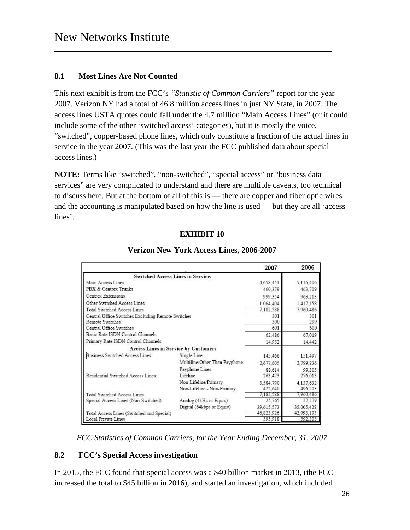## **8.1 Most Lines Are Not Counted**

This next exhibit is from the FCC's *"Statistic of Common Carriers"* report for the year 2007. Verizon NY had a total of 46.8 million access lines in just NY State, in 2007. The access lines USTA quotes could fall under the 4.7 million "Main Access Lines" (or it could include some of the other 'switched access' categories), but it is mostly the voice, "switched", copper-based phone lines, which only constitute a fraction of the actual lines in service in the year 2007. (This was the last year the FCC published data about special access lines.)

**NOTE:** Terms like "switched", "non-switched", "special access" or "business data services" are very complicated to understand and there are multiple caveats, too technical to discuss here. But at the bottom of all of this is — there are copper and fiber optic wires and the accounting is manipulated based on how the line is used — but they are all 'access lines'.

## **EXHIBIT 10**

|                                                   |                                          | 2007                | 2006       |
|---------------------------------------------------|------------------------------------------|---------------------|------------|
|                                                   | <b>Switched Access Lines in Service:</b> |                     |            |
| Main Access Lines                                 |                                          | 4,658,451           | 5,116,406  |
| PBX & Centrex Trunks                              |                                          | 460.379             | 463,709    |
| <b>Centrex Extensions</b>                         |                                          | 999.354             | 963.213    |
| Other Switched Access Lines                       |                                          | 1.064.404           | 1,417,158  |
| <b>Total Switched Access Lines</b>                |                                          | 7,182,588           | 7,960,486  |
| Central Office Switches Excluding Remote Switches |                                          | 301                 | 301        |
| Remote Switches                                   |                                          | 300                 | 299        |
| Central Office Switches                           |                                          | 601                 | 600        |
| Basic Rate ISDN Control Channels                  |                                          | 62.486              | 67.019     |
| Primary Rate ISDN Control Channels                |                                          | 14.952              | 14,442     |
|                                                   | Access Lines in Service by Customer:     |                     |            |
| Business Switched Access Lines:                   | Single Line                              | 145,466             | 151,497    |
|                                                   | Multiline/Other Than Payphone            | 2,677,605<br>88.614 | 2,799.836  |
|                                                   | Payphone Lines                           |                     | 99.305     |
| Residential Switched Access Lines:                | Lifeline                                 | 263,473             | 276,013    |
|                                                   | Non-Lifeline/Primary                     | 3,584,790           | 4,137.632  |
|                                                   | Non-Lifeline - Non-Primary               | 422,640             | 496.203    |
| <b>Total Switched Access Lines</b>                |                                          | 7,182,588           | 7,960,486  |
| Special Access Lines (Non-Switched):              | Analog (4kHz or Equiv)                   | 25,765              | 27,279     |
|                                                   | Digital (64kbps or Equiv)                | 39.615.573          | 35.005.428 |
| Total Access Lines (Switched and Special)         |                                          | 46.823.926          | 42.993.193 |
| Local Private Lines                               |                                          | 595.918             | 592.305    |

#### **Verizon New York Access Lines, 2006-2007**

*FCC Statistics of Common Carriers, for the Year Ending December, 31, 2007*

## **8.2 FCC's Special Access investigation**

In 2015, the FCC found that special access was a \$40 billion market in 2013, (the FCC increased the total to \$45 billion in 2016), and started an investigation, which included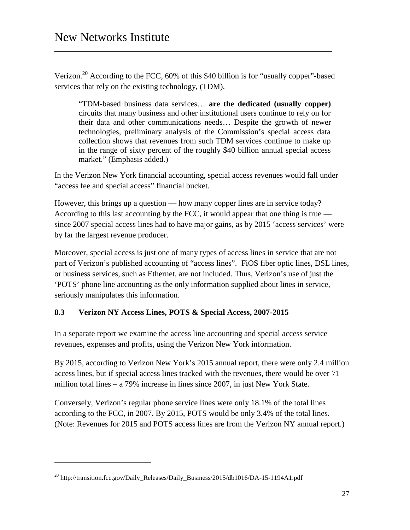Verizon.<sup>20</sup> According to the FCC, 60% of this \$40 billion is for "usually copper"-based services that rely on the existing technology, (TDM).

"TDM-based business data services… **are the dedicated (usually copper)** circuits that many business and other institutional users continue to rely on for their data and other communications needs… Despite the growth of newer technologies, preliminary analysis of the Commission's special access data collection shows that revenues from such TDM services continue to make up in the range of sixty percent of the roughly \$40 billion annual special access market." (Emphasis added.)

In the Verizon New York financial accounting, special access revenues would fall under "access fee and special access" financial bucket.

However, this brings up a question — how many copper lines are in service today? According to this last accounting by the FCC, it would appear that one thing is true  $$ since 2007 special access lines had to have major gains, as by 2015 'access services' were by far the largest revenue producer.

Moreover, special access is just one of many types of access lines in service that are not part of Verizon's published accounting of "access lines". FiOS fiber optic lines, DSL lines, or business services, such as Ethernet, are not included. Thus, Verizon's use of just the 'POTS' phone line accounting as the only information supplied about lines in service, seriously manipulates this information.

## **8.3 Verizon NY Access Lines, POTS & Special Access, 2007-2015**

In a separate report we examine the access line accounting and special access service revenues, expenses and profits, using the Verizon New York information.

By 2015, according to Verizon New York's 2015 annual report, there were only 2.4 million access lines, but if special access lines tracked with the revenues, there would be over 71 million total lines – a 79% increase in lines since 2007, in just New York State.

Conversely, Verizon's regular phone service lines were only 18.1% of the total lines according to the FCC, in 2007. By 2015, POTS would be only 3.4% of the total lines. (Note: Revenues for 2015 and POTS access lines are from the Verizon NY annual report.)

<sup>&</sup>lt;sup>20</sup> http://transition.fcc.gov/Daily\_Releases/Daily\_Business/2015/db1016/DA-15-1194A1.pdf